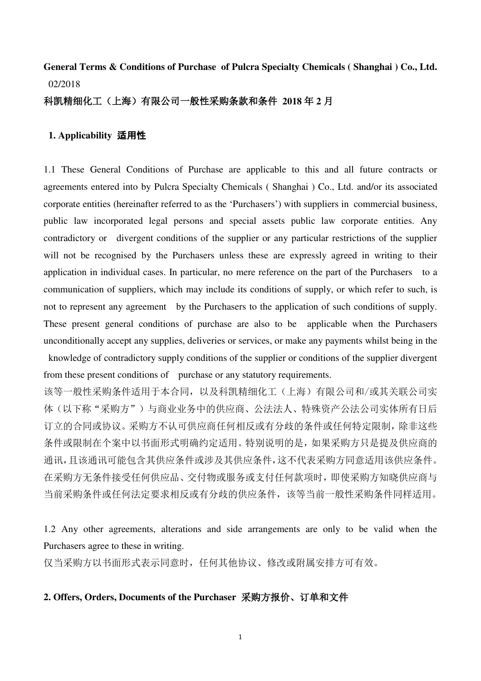# **General Terms & Conditions of Purchase of Pulcra Specialty Chemicals ( Shanghai ) Co., Ltd.** 02/2018

#### 科凯精细化工(上海)有限公司一般性采购条款和条件 **2018** 年 **2** 月

#### **1. Applicability** 适用性

1.1 These General Conditions of Purchase are applicable to this and all future contracts or agreements entered into by Pulcra Specialty Chemicals ( Shanghai ) Co., Ltd. and/or its associated corporate entities (hereinafter referred to as the 'Purchasers') with suppliers in commercial business, public law incorporated legal persons and special assets public law corporate entities. Any contradictory or divergent conditions of the supplier or any particular restrictions of the supplier will not be recognised by the Purchasers unless these are expressly agreed in writing to their application in individual cases. In particular, no mere reference on the part of the Purchasers to a communication of suppliers, which may include its conditions of supply, or which refer to such, is not to represent any agreement by the Purchasers to the application of such conditions of supply. These present general conditions of purchase are also to be applicable when the Purchasers unconditionally accept any supplies, deliveries or services, or make any payments whilst being in the knowledge of contradictory supply conditions of the supplier or conditions of the supplier divergent from these present conditions of purchase or any statutory requirements.

该等一般性采购条件适用于本合同,以及科凯精细化工(上海)有限公司和/或其关联公司实 体(以下称"采购方")与商业业务中的供应商、公法法人、特殊资产公法公司实体所有日后 订立的合同或协议。采购方不认可供应商任何相反或有分歧的条件或任何特定限制,除非这些 条件或限制在个案中以书面形式明确约定适用。特别说明的是,如果采购方只是提及供应商的 通讯,且该通讯可能包含其供应条件或涉及其供应条件,这不代表采购方同意适用该供应条件。 在采购方无条件接受任何供应品、交付物或服务或支付任何款项时,即使采购方知晓供应商与 当前采购条件或任何法定要求相反或有分歧的供应条件,该等当前一般性采购条件同样适用。

1.2 Any other agreements, alterations and side arrangements are only to be valid when the Purchasers agree to these in writing.

仅当采购方以书面形式表示同意时,任何其他协议、修改或附属安排方可有效。

# **2. Offers, Orders, Documents of the Purchaser** 采购方报价、订单和文件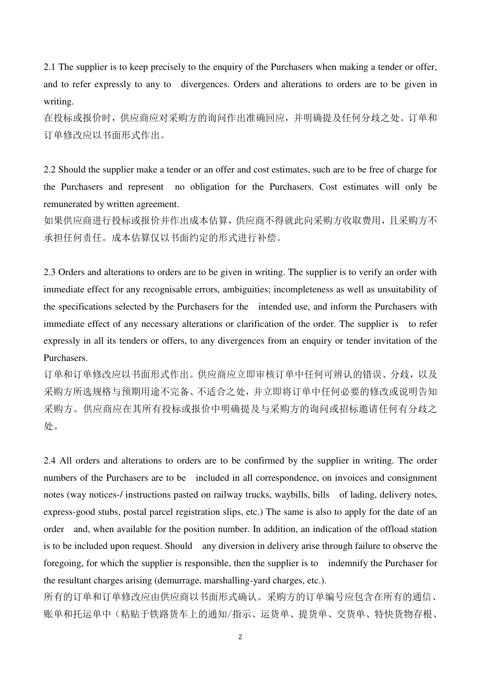2.1 The supplier is to keep precisely to the enquiry of the Purchasers when making a tender or offer, and to refer expressly to any to divergences. Orders and alterations to orders are to be given in writing.

在投标或报价时,供应商应对采购方的询问作出准确回应,并明确提及任何分歧之处。订单和 订单修改应以书面形式作出。

2.2 Should the supplier make a tender or an offer and cost estimates, such are to be free of charge for the Purchasers and represent no obligation for the Purchasers. Cost estimates will only be remunerated by written agreement.

如果供应商进行投标或报价并作出成本估算,供应商不得就此向采购方收取费用,且采购方不 承担任何责任。成本估算仅以书面约定的形式进行补偿。

2.3 Orders and alterations to orders are to be given in writing. The supplier is to verify an order with immediate effect for any recognisable errors, ambiguities; incompleteness as well as unsuitability of the specifications selected by the Purchasers for the intended use, and inform the Purchasers with immediate effect of any necessary alterations or clarification of the order. The supplier is to refer expressly in all its tenders or offers, to any divergences from an enquiry or tender invitation of the Purchasers.

订单和订单修改应以书面形式作出。供应商应立即审核订单中任何可辨认的错误、分歧,以及 采购方所选规格与预期用途不完备、不适合之处,并立即将订单中任何必要的修改或说明告知 采购方。供应商应在其所有投标或报价中明确提及与采购方的询问或招标邀请任何有分歧之 处。

2.4 All orders and alterations to orders are to be confirmed by the supplier in writing. The order numbers of the Purchasers are to be included in all correspondence, on invoices and consignment notes (way notices-/ instructions pasted on railway trucks, waybills, bills of lading, delivery notes, express-good stubs, postal parcel registration slips, etc.) The same is also to apply for the date of an order and, when available for the position number. In addition, an indication of the offload station is to be included upon request. Should any diversion in delivery arise through failure to observe the foregoing, for which the supplier is responsible, then the supplier is to indemnify the Purchaser for the resultant charges arising (demurrage, marshalling-yard charges, etc.).

所有的订单和订单修改应由供应商以书面形式确认。采购方的订单编号应包含在所有的通信、 账单和托运单中(粘贴于铁路货车上的通知/指示、运货单、提货单、交货单、特快货物存根、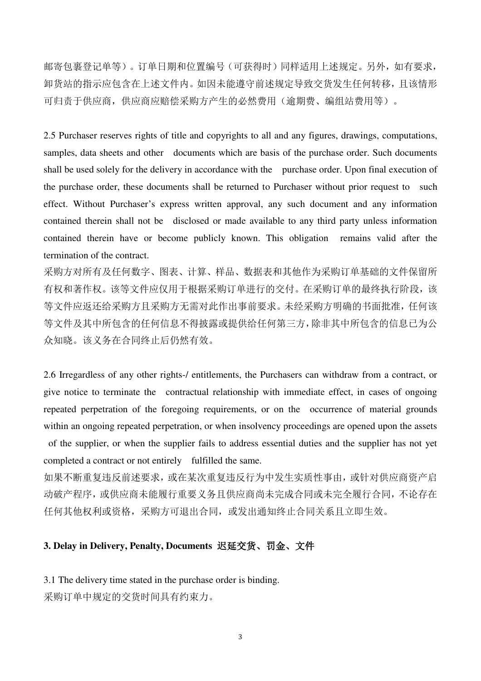邮寄包裹登记单等)。订单日期和位置编号(可获得时)同样适用上述规定。另外,如有要求, 卸货站的指示应包含在上述文件内。如因未能遵守前述规定导致交货发生任何转移,且该情形 可归责于供应商,供应商应赔偿采购方产生的必然费用(逾期费、编组站费用等)。

2.5 Purchaser reserves rights of title and copyrights to all and any figures, drawings, computations, samples, data sheets and other documents which are basis of the purchase order. Such documents shall be used solely for the delivery in accordance with the purchase order. Upon final execution of the purchase order, these documents shall be returned to Purchaser without prior request to such effect. Without Purchaser's express written approval, any such document and any information contained therein shall not be disclosed or made available to any third party unless information contained therein have or become publicly known. This obligation remains valid after the termination of the contract.

采购方对所有及任何数字、图表、计算、样品、数据表和其他作为采购订单基础的文件保留所 有权和著作权。该等文件应仅用于根据采购订单进行的交付。在采购订单的最终执行阶段,该 等文件应返还给采购方且采购方无需对此作出事前要求。未经采购方明确的书面批准,任何该 等文件及其中所包含的任何信息不得披露或提供给任何第三方,除非其中所包含的信息已为公 众知晓。该义务在合同终止后仍然有效。

2.6 Irregardless of any other rights-/ entitlements, the Purchasers can withdraw from a contract, or give notice to terminate the contractual relationship with immediate effect, in cases of ongoing repeated perpetration of the foregoing requirements, or on the occurrence of material grounds within an ongoing repeated perpetration, or when insolvency proceedings are opened upon the assets of the supplier, or when the supplier fails to address essential duties and the supplier has not yet completed a contract or not entirely fulfilled the same.

如果不断重复违反前述要求,或在某次重复违反行为中发生实质性事由,或针对供应商资产启 动破产程序,或供应商未能履行重要义务且供应商尚未完成合同或未完全履行合同,不论存在 任何其他权利或资格,采购方可退出合同,或发出通知终止合同关系且立即生效。

## **3. Delay in Delivery, Penalty, Documents** 迟延交货、罚金、文件

3.1 The delivery time stated in the purchase order is binding. 采购订单中规定的交货时间具有约束力。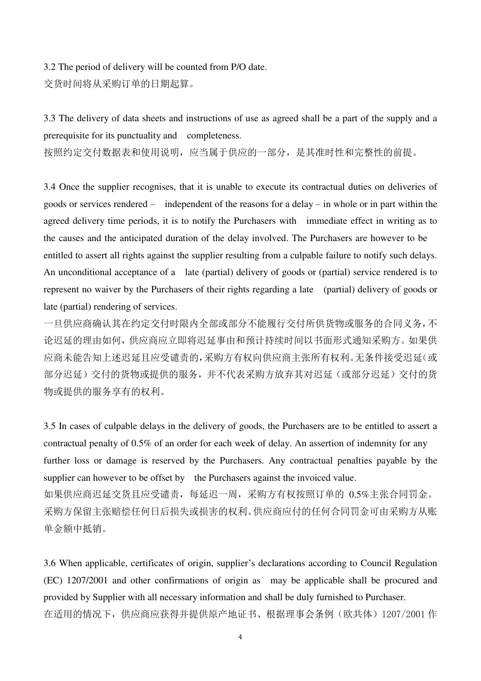3.2 The period of delivery will be counted from P/O date. 交货时间将从采购订单的日期起算。

3.3 The delivery of data sheets and instructions of use as agreed shall be a part of the supply and a prerequisite for its punctuality and completeness.

按照约定交付数据表和使用说明,应当属于供应的一部分,是其准时性和完整性的前提。

3.4 Once the supplier recognises, that it is unable to execute its contractual duties on deliveries of goods or services rendered – independent of the reasons for a delay – in whole or in part within the agreed delivery time periods, it is to notify the Purchasers with immediate effect in writing as to the causes and the anticipated duration of the delay involved. The Purchasers are however to be entitled to assert all rights against the supplier resulting from a culpable failure to notify such delays. An unconditional acceptance of a late (partial) delivery of goods or (partial) service rendered is to represent no waiver by the Purchasers of their rights regarding a late (partial) delivery of goods or late (partial) rendering of services.

一旦供应商确认其在约定交付时限内全部或部分不能履行交付所供货物或服务的合同义务,不 论迟延的理由如何,供应商应立即将迟延事由和预计持续时间以书面形式通知采购方。如果供 应商未能告知上述迟延且应受谴责的,采购方有权向供应商主张所有权利。无条件接受迟延(或 部分迟延)交付的货物或提供的服务,并不代表采购方放弃其对迟延(或部分迟延)交付的货 物或提供的服务享有的权利。

3.5 In cases of culpable delays in the delivery of goods, the Purchasers are to be entitled to assert a contractual penalty of 0.5% of an order for each week of delay. An assertion of indemnity for any further loss or damage is reserved by the Purchasers. Any contractual penalties payable by the supplier can however to be offset by the Purchasers against the invoiced value. 如果供应商迟延交货且应受谴责,每延迟一周,采购方有权按照订单的 0.5%主张合同罚金。 采购方保留主张赔偿任何日后损失或损害的权利。供应商应付的任何合同罚金可由采购方从账 单金额中抵销。

3.6 When applicable, certificates of origin, supplier's declarations according to Council Regulation (EC) 1207/2001 and other confirmations of origin as may be applicable shall be procured and provided by Supplier with all necessary information and shall be duly furnished to Purchaser. 在适用的情况下,供应商应获得并提供原产地证书、根据理事会条例(欧共体)1207/2001 作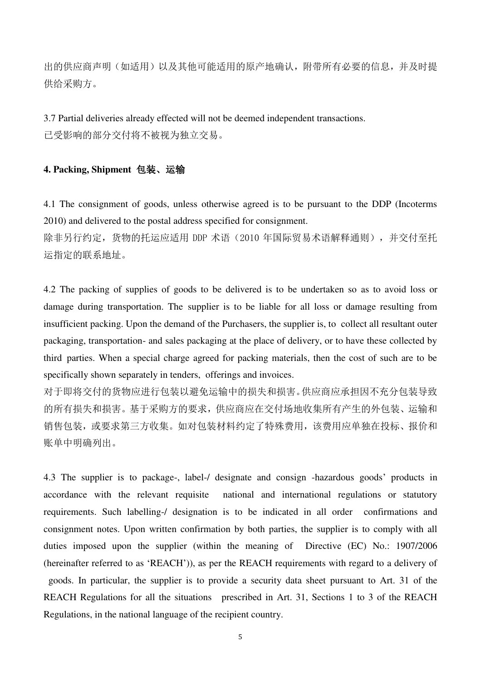出的供应商声明(如适用)以及其他可能适用的原产地确认,附带所有必要的信息,并及时提 供给采购方。

3.7 Partial deliveries already effected will not be deemed independent transactions. 已受影响的部分交付将不被视为独立交易。

## **4. Packing, Shipment** 包装、运输

4.1 The consignment of goods, unless otherwise agreed is to be pursuant to the DDP (Incoterms 2010) and delivered to the postal address specified for consignment.

除非另行约定, 货物的托运应适用 DDP 术语 (2010 年国际贸易术语解释通则), 并交付至托 运指定的联系地址。

4.2 The packing of supplies of goods to be delivered is to be undertaken so as to avoid loss or damage during transportation. The supplier is to be liable for all loss or damage resulting from insufficient packing. Upon the demand of the Purchasers, the supplier is, to collect all resultant outer packaging, transportation- and sales packaging at the place of delivery, or to have these collected by third parties. When a special charge agreed for packing materials, then the cost of such are to be specifically shown separately in tenders, offerings and invoices.

对于即将交付的货物应进行包装以避免运输中的损失和损害。供应商应承担因不充分包装导致 的所有损失和损害。基于采购方的要求,供应商应在交付场地收集所有产生的外包装、运输和 销售包装,或要求第三方收集。如对包装材料约定了特殊费用,该费用应单独在投标、报价和 账单中明确列出。

4.3 The supplier is to package-, label-/ designate and consign -hazardous goods' products in accordance with the relevant requisite national and international regulations or statutory requirements. Such labelling-/ designation is to be indicated in all order confirmations and consignment notes. Upon written confirmation by both parties, the supplier is to comply with all duties imposed upon the supplier (within the meaning of Directive (EC) No.: 1907/2006 (hereinafter referred to as 'REACH')), as per the REACH requirements with regard to a delivery of goods. In particular, the supplier is to provide a security data sheet pursuant to Art. 31 of the REACH Regulations for all the situations prescribed in Art. 31, Sections 1 to 3 of the REACH Regulations, in the national language of the recipient country.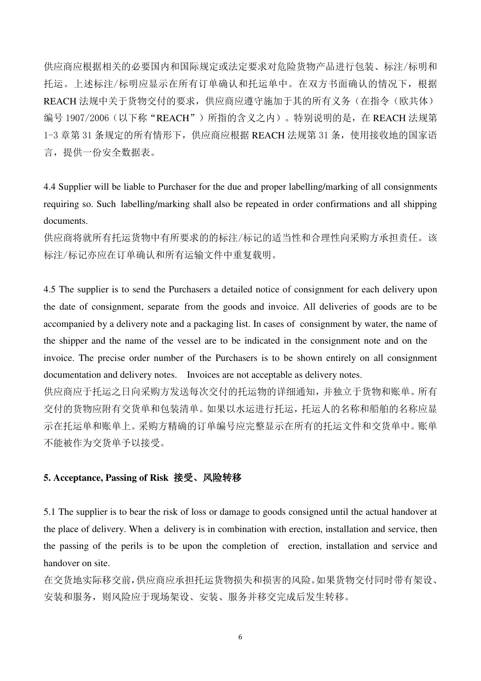供应商应根据相关的必要国内和国际规定或法定要求对危险货物产品进行包装、标注/标明和 托运。上述标注/标明应显示在所有订单确认和托运单中。在双方书面确认的情况下,根据 REACH 法规中关于货物交付的要求, 供应商应遵守施加于其的所有义务(在指令(欧共体) 编号 1907/2006(以下称"REACH")所指的含义之内)。特别说明的是, 在 REACH 法规第 1-3 章第 31 条规定的所有情形下,供应商应根据 REACH 法规第 31 条,使用接收地的国家语 言,提供一份安全数据表。

4.4 Supplier will be liable to Purchaser for the due and proper labelling/marking of all consignments requiring so. Such labelling/marking shall also be repeated in order confirmations and all shipping documents.

供应商将就所有托运货物中有所要求的的标注/标记的适当性和合理性向采购方承担责任。该 标注/标记亦应在订单确认和所有运输文件中重复载明。

4.5 The supplier is to send the Purchasers a detailed notice of consignment for each delivery upon the date of consignment, separate from the goods and invoice. All deliveries of goods are to be accompanied by a delivery note and a packaging list. In cases of consignment by water, the name of the shipper and the name of the vessel are to be indicated in the consignment note and on the invoice. The precise order number of the Purchasers is to be shown entirely on all consignment documentation and delivery notes. Invoices are not acceptable as delivery notes.

供应商应于托运之日向采购方发送每次交付的托运物的详细通知,并独立于货物和账单。所有 交付的货物应附有交货单和包装清单。如果以水运进行托运,托运人的名称和船舶的名称应显 示在托运单和账单上。采购方精确的订单编号应完整显示在所有的托运文件和交货单中。账单 不能被作为交货单予以接受。

## **5. Acceptance, Passing of Risk** 接受、风险转移

5.1 The supplier is to bear the risk of loss or damage to goods consigned until the actual handover at the place of delivery. When a delivery is in combination with erection, installation and service, then the passing of the perils is to be upon the completion of erection, installation and service and handover on site.

在交货地实际移交前,供应商应承担托运货物损失和损害的风险。如果货物交付同时带有架设、 安装和服务,则风险应于现场架设、安装、服务并移交完成后发生转移。

6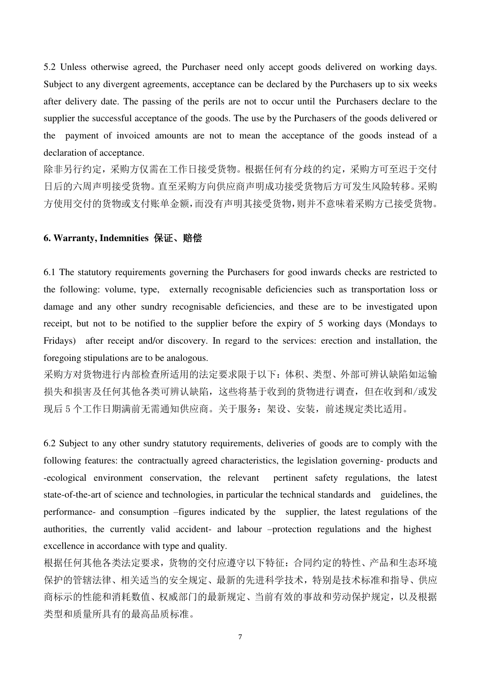5.2 Unless otherwise agreed, the Purchaser need only accept goods delivered on working days. Subject to any divergent agreements, acceptance can be declared by the Purchasers up to six weeks after delivery date. The passing of the perils are not to occur until the Purchasers declare to the supplier the successful acceptance of the goods. The use by the Purchasers of the goods delivered or the payment of invoiced amounts are not to mean the acceptance of the goods instead of a declaration of acceptance.

除非另行约定,采购方仅需在工作日接受货物。根据任何有分歧的约定,采购方可至迟于交付 日后的六周声明接受货物。直至采购方向供应商声明成功接受货物后方可发生风险转移。采购 方使用交付的货物或支付账单金额,而没有声明其接受货物,则并不意味着采购方已接受货物。

#### **6. Warranty, Indemnities** 保证、赔偿

6.1 The statutory requirements governing the Purchasers for good inwards checks are restricted to the following: volume, type, externally recognisable deficiencies such as transportation loss or damage and any other sundry recognisable deficiencies, and these are to be investigated upon receipt, but not to be notified to the supplier before the expiry of 5 working days (Mondays to Fridays) after receipt and/or discovery. In regard to the services: erection and installation, the foregoing stipulations are to be analogous.

采购方对货物进行内部检查所适用的法定要求限于以下:体积、类型、外部可辨认缺陷如运输 损失和损害及任何其他各类可辨认缺陷,这些将基于收到的货物进行调查,但在收到和/或发 现后 5 个工作日期满前无需通知供应商。关于服务: 架设、安装, 前述规定类比适用。

6.2 Subject to any other sundry statutory requirements, deliveries of goods are to comply with the following features: the contractually agreed characteristics, the legislation governing- products and -ecological environment conservation, the relevant pertinent safety regulations, the latest state-of-the-art of science and technologies, in particular the technical standards and guidelines, the performance- and consumption –figures indicated by the supplier, the latest regulations of the authorities, the currently valid accident- and labour –protection regulations and the highest excellence in accordance with type and quality.

根据任何其他各类法定要求,货物的交付应遵守以下特征:合同约定的特性、产品和生态环境 保护的管辖法律、相关适当的安全规定、最新的先进科学技术,特别是技术标准和指导、供应 商标示的性能和消耗数值、权威部门的最新规定、当前有效的事故和劳动保护规定,以及根据 类型和质量所具有的最高品质标准。

7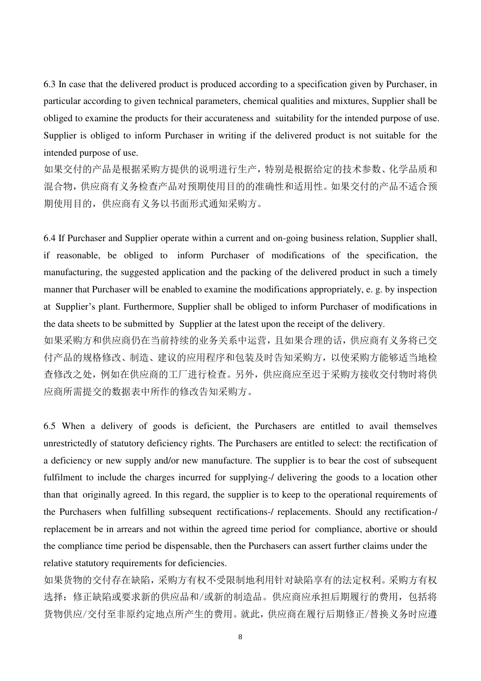6.3 In case that the delivered product is produced according to a specification given by Purchaser, in particular according to given technical parameters, chemical qualities and mixtures, Supplier shall be obliged to examine the products for their accurateness and suitability for the intended purpose of use. Supplier is obliged to inform Purchaser in writing if the delivered product is not suitable for the intended purpose of use.

如果交付的产品是根据采购方提供的说明进行生产,特别是根据给定的技术参数、化学品质和 混合物,供应商有义务检查产品对预期使用目的的准确性和适用性。如果交付的产品不适合预 期使用目的,供应商有义务以书面形式通知采购方。

6.4 If Purchaser and Supplier operate within a current and on-going business relation, Supplier shall, if reasonable, be obliged to inform Purchaser of modifications of the specification, the manufacturing, the suggested application and the packing of the delivered product in such a timely manner that Purchaser will be enabled to examine the modifications appropriately, e. g. by inspection at Supplier's plant. Furthermore, Supplier shall be obliged to inform Purchaser of modifications in the data sheets to be submitted by Supplier at the latest upon the receipt of the delivery.

如果采购方和供应商仍在当前持续的业务关系中运营,且如果合理的话,供应商有义务将已交 付产品的规格修改、制造、建议的应用程序和包装及时告知采购方,以使采购方能够适当地检 查修改之处,例如在供应商的工厂进行检查。另外,供应商应至迟于采购方接收交付物时将供 应商所需提交的数据表中所作的修改告知采购方。

6.5 When a delivery of goods is deficient, the Purchasers are entitled to avail themselves unrestrictedly of statutory deficiency rights. The Purchasers are entitled to select: the rectification of a deficiency or new supply and/or new manufacture. The supplier is to bear the cost of subsequent fulfilment to include the charges incurred for supplying-/ delivering the goods to a location other than that originally agreed. In this regard, the supplier is to keep to the operational requirements of the Purchasers when fulfilling subsequent rectifications-/ replacements. Should any rectification-/ replacement be in arrears and not within the agreed time period for compliance, abortive or should the compliance time period be dispensable, then the Purchasers can assert further claims under the relative statutory requirements for deficiencies.

如果货物的交付存在缺陷,采购方有权不受限制地利用针对缺陷享有的法定权利。采购方有权 选择:修正缺陷或要求新的供应品和/或新的制造品。供应商应承担后期履行的费用,包括将 货物供应/交付至非原约定地点所产生的费用。就此,供应商在履行后期修正/替换义务时应遵

8